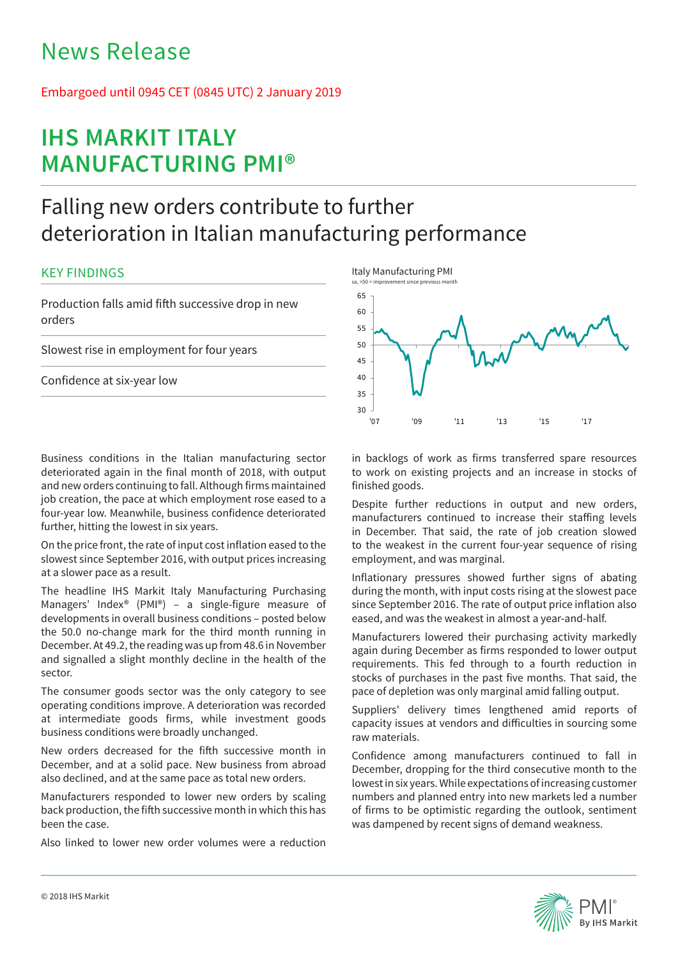# News Release

# Embargoed until 0945 CET (0845 UTC) 2 January 2019

# **IHS MARKIT ITALY MANUFACTURING PMI®**

# Falling new orders contribute to further deterioration in Italian manufacturing performance

## KEY FINDINGS

Production falls amid fifth successive drop in new orders

Slowest rise in employment for four years

Confidence at six-year low

Business conditions in the Italian manufacturing sector deteriorated again in the final month of 2018, with output and new orders continuing to fall. Although firms maintained job creation, the pace at which employment rose eased to a four-year low. Meanwhile, business confidence deteriorated further, hitting the lowest in six years.

On the price front, the rate of input cost inflation eased to the slowest since September 2016, with output prices increasing at a slower pace as a result.

The headline IHS Markit Italy Manufacturing Purchasing Managers' Index® (PMI®) – a single-figure measure of developments in overall business conditions – posted below the 50.0 no-change mark for the third month running in December. At 49.2, the reading was up from 48.6 in November and signalled a slight monthly decline in the health of the sector.

The consumer goods sector was the only category to see operating conditions improve. A deterioration was recorded at intermediate goods firms, while investment goods business conditions were broadly unchanged.

New orders decreased for the fifth successive month in December, and at a solid pace. New business from abroad also declined, and at the same pace as total new orders.

Manufacturers responded to lower new orders by scaling back production, the fifth successive month in which this has been the case.

Also linked to lower new order volumes were a reduction



in backlogs of work as firms transferred spare resources to work on existing projects and an increase in stocks of finished goods.

Despite further reductions in output and new orders, manufacturers continued to increase their staffing levels in December. That said, the rate of job creation slowed to the weakest in the current four-year sequence of rising employment, and was marginal.

Inflationary pressures showed further signs of abating during the month, with input costs rising at the slowest pace since September 2016. The rate of output price inflation also eased, and was the weakest in almost a year-and-half.

Manufacturers lowered their purchasing activity markedly again during December as firms responded to lower output requirements. This fed through to a fourth reduction in stocks of purchases in the past five months. That said, the pace of depletion was only marginal amid falling output.

Suppliers' delivery times lengthened amid reports of capacity issues at vendors and difficulties in sourcing some raw materials.

Confidence among manufacturers continued to fall in December, dropping for the third consecutive month to the lowest in six years. While expectations of increasing customer numbers and planned entry into new markets led a number of firms to be optimistic regarding the outlook, sentiment was dampened by recent signs of demand weakness.